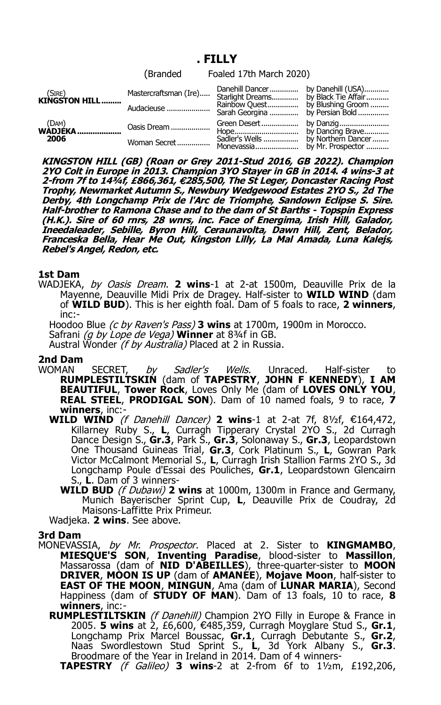## **. FILLY**

|                           |              | (Branded Foaled 17th March 2020)                                                                                       |  |
|---------------------------|--------------|------------------------------------------------------------------------------------------------------------------------|--|
| $(SIRE)$<br>KINGSTON HILL |              | Mastercraftsman (Ire) Danehill Dancer  by Danehill (USA)<br>Mastercraftsman (Ire) Starlight Dreams by Black Tie Affair |  |
|                           | Audacieuse   | Rainbow Quest by Blushing Groom<br>Sarah Georgina  by Persian Bold                                                     |  |
| $(DAM)$<br>WADJEKA        | Oasis Dream  |                                                                                                                        |  |
| 2006                      | Woman Secret | Sadler's Wells  by Northern Dancer                                                                                     |  |

**KINGSTON HILL (GB) (Roan or Grey 2011-Stud 2016, GB 2022). Champion 2YO Colt in Europe in 2013. Champion 3YO Stayer in GB in 2014. 4 wins-3 at 2-from 7f to 14¾f, £866,361, 285,500, The St Leger, Doncaster Racing Post** € **Trophy, Newmarket Autumn S., Newbury Wedgewood Estates 2YO S., 2d The Derby, 4th Longchamp Prix de l'Arc de Triomphe, Sandown Eclipse S. Sire. Half-brother to Ramona Chase and to the dam of St Barths - Topspin Express (H.K.). Sire of 60 rnrs, 28 wnrs, inc. Face of Energima, Irish Hill, Galador, Ineedaleader, Sebille, Byron Hill, Ceraunavolta, Dawn Hill, Zent, Belador, Franceska Bella, Hear Me Out, Kingston Lilly, La Mal Amada, Luna Kalejs, Rebel's Angel, Redon, etc.**

## **1st Dam**

WADJEKA, by Oasis Dream. **2 wins**-1 at 2-at 1500m, Deauville Prix de la Mayenne, Deauville Midi Prix de Dragey. Half-sister to **WILD WIND** (dam of **WILD BUD**). This is her eighth foal. Dam of 5 foals to race, **2 winners**, inc:-

Hoodoo Blue (c by Raven's Pass) **3 wins** at 1700m, 1900m in Morocco.

Safrani (g by Lope de Vega) **Winner** at 834f in GB.

Austral Wonder (f by Australia) Placed at 2 in Russia.

## **2nd Dam**

WOMAN SECRET, *by Sadler's Wells*. Unraced. Half-sister to **RUMPLESTILTSKIN** (dam of **TAPESTRY**, **JOHN F KENNEDY**), **I AM BEAUTIFUL**, **Tower Rock**, Loves Only Me (dam of **LOVES ONLY YOU**, **REAL STEEL**, **PRODIGAL SON**). Dam of 10 named foals, 9 to race, **7 winners**, inc:-

- **WILD WIND** (f Danehill Dancer) **2 wins**-1 at 2-at 7f, 81/2f,  $\epsilon$ 164,472, Killarney Ruby S., **L**, Curragh Tipperary Crystal 2YO S., 2d Curragh Dance Design S., **Gr.3**, Park S., **Gr.3**, Solonaway S., **Gr.3**, Leopardstown One Thousand Guineas Trial, **Gr.3**, Cork Platinum S., **L**, Gowran Park Victor McCalmont Memorial S., **L**, Curragh Irish Stallion Farms 2YO S., 3d Longchamp Poule d'Essai des Pouliches, **Gr.1**, Leopardstown Glencairn S., **L**. Dam of 3 winners-
	- **WILD BUD** (f Dubawi) **2 wins** at 1000m, 1300m in France and Germany, Munich Bayerischer Sprint Cup, **L**, Deauville Prix de Coudray, 2d Maisons-Laffitte Prix Primeur.

Wadjeka. **2 wins**. See above.

## **3rd Dam**

- MONEVASSIA, by Mr. Prospector. Placed at 2. Sister to **KINGMAMBO**, **MIESQUE'S SON**, **Inventing Paradise**, blood-sister to **Massillon**, Massarossa (dam of **NID D'ABEILLES**), three-quarter-sister to **MOON DRIVER**, **MOON IS UP** (dam of **AMANEE**), **Mojave Moon**, half-sister to **EAST OF THE MOON**, **MINGUN**, Ama (dam of **LUNAR MARIA**), Second Happiness (dam of **STUDY OF MAN**). Dam of 13 foals, 10 to race, **8 winners**, inc:-
	- **RUMPLESTILTSKIN** (*f Danehill*) Champion 2YO Filly in Europe & France in 2005. **5 wins** at 2, £6,600, €485,359, Curragh Moyglare Stud S., **Gr.1**, Longchamp Prix Marcel Boussac, **Gr.1**, Curragh Debutante S., **Gr.2**, Naas Swordlestown Stud Sprint S., **L**, 3d York Albany S., **Gr.3**. Broodmare of the Year in Ireland in 2014. Dam of 4 winners-

**TAPESTRY** (f Galileo) **3 wins**-2 at 2-from 6f to 1½m, £192,206,